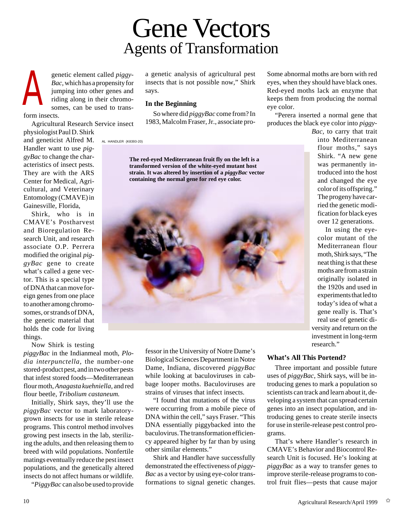# Gene Vectors Agents of Transformation

genetic element called *piggy-Bac,* which has a propensity for jumping into other genes and riding along in their chromosomes, can be used to transform insects. A

Agricultural Research Service insect

physiologist Paul D. Shirk and geneticist Alfred M. Handler want to use *piggyBac* to change the characteristics of insect pests. They are with the ARS Center for Medical, Agricultural, and Veterinary Entomology (CMAVE) in Gainesville, Florida,

Shirk, who is in CMAVE's Postharvest and Bioregulation Research Unit, and research associate O.P. Perrera modified the original *piggyBac* gene to create what's called a gene vector. This is a special type of DNA that can move foreign genes from one place to another among chromosomes, or strands of DNA, the genetic material that holds the code for living things.

Now Shirk is testing

*piggyBac* in the Indianmeal moth, *Plodia interpunctella,* the number-one stored-product pest, and in two other pests that infest stored foods—Mediterranean flour moth, *Anagasta kuehniella,* and red flour beetle, *Tribolium castaneum*.

Initially, Shirk says, they'll use the *piggyBac* vector to mark laboratorygrown insects for use in sterile release programs. This control method involves growing pest insects in the lab, sterilizing the adults, and then releasing them to breed with wild populations. Nonfertile matings eventually reduce the pest insect populations, and the genetically altered insects do not affect humans or wildlife.

"*PiggyBac* can also be used to provide

a genetic analysis of agricultural pest insects that is not possible now," Shirk says.

## **In the Beginning**

So where did *piggyBac* come from? In 1983, Malcolm Fraser, Jr., associate pro-

AL HANDLER (K8393-20)

**The red-eyed Mediterranean fruit fly on the left is a transformed version of the white-eyed mutant host strain. It was altered by insertion of a** *piggyBac* **vector containing the normal gene for red eye color.**



fessor in the University of Notre Dame's Biological Sciences Department in Notre Dame, Indiana, discovered *piggyBac* while looking at baculoviruses in cabbage looper moths. Baculoviruses are strains of viruses that infect insects. "I found that mutations of the virus were occurring from a mobile piece of DNA within the cell," says Fraser. "This DNA essentially piggybacked into the baculovirus. The transformation efficiency appeared higher by far than by using

Shirk and Handler have successfully demonstrated the effectiveness of *piggy-Bac* as a vector by using eye-color transformations to signal genetic changes.

other similar elements."

Some abnormal moths are born with red eyes, when they should have black ones. Red-eyed moths lack an enzyme that keeps them from producing the normal eye color.

"Perera inserted a normal gene that produces the black eye color into *piggy-*

> *Bac,* to carry that trait into Mediterranean flour moths," says Shirk. "A new gene was permanently introduced into the host and changed the eye color of its offspring." The progeny have carried the genetic modification for black eyes over 12 generations.

> In using the eyecolor mutant of the Mediterranean flour moth, Shirk says, "The neat thing is that these moths are from a strain originally isolated in the 1920s and used in experiments that led to today's idea of what a gene really is. That's real use of genetic diversity and return on the investment in long-term research."

## **What's All This Portend?**

Three important and possible future uses of *piggyBac*, Shirk says, will be introducing genes to mark a population so scientists can track and learn about it, developing a system that can spread certain genes into an insect population, and introducing genes to create sterile insects for use in sterile-release pest control programs.

That's where Handler's research in CMAVE's Behavior and Biocontrol Research Unit is focused. He's looking at *piggyBac* as a way to transfer genes to improve sterile-release programs to control fruit flies—pests that cause major